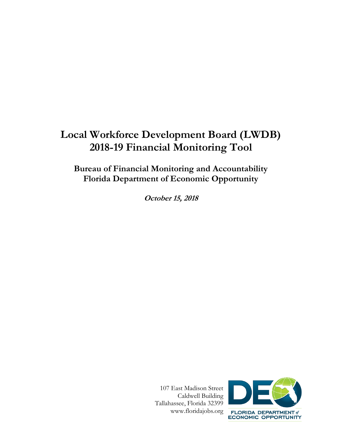# **Local Workforce Development Board (LWDB) 2018-19 Financial Monitoring Tool**

**Bureau of Financial Monitoring and Accountability Florida Department of Economic Opportunity**

**October 15, 2018**

 107 East Madison Street Caldwell Building Tallahassee, Florida 32399 www.floridajobs.org

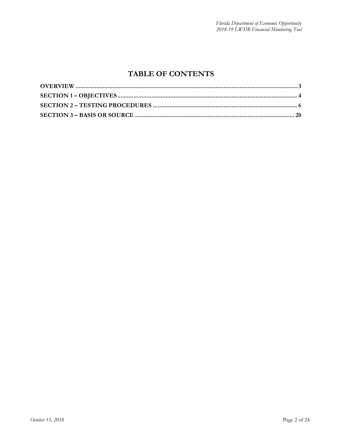### **TABLE OF CONTENTS**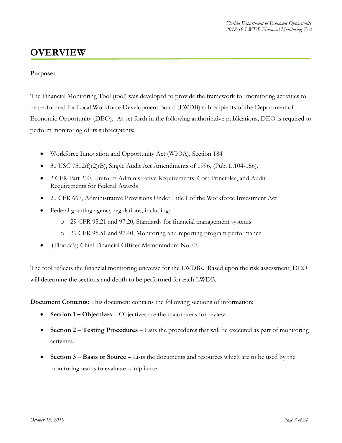### <span id="page-2-0"></span>**OVERVIEW**

#### **Purpose:**

The Financial Monitoring Tool (tool) was developed to provide the framework for monitoring activities to be performed for Local Workforce Development Board (LWDB) subrecipients of the Department of Economic Opportunity (DEO). As set forth in the following authoritative publications, DEO is required to perform monitoring of its subrecipients:

- Workforce Innovation and Opportunity Act (WIOA), Section 184
- 31 USC 7502(f)(2)(B), Single Audit Act Amendments of 1996, (Pub. L.104-156),
- 2 CFR Part 200, Uniform Administrative Requirements, Cost Principles, and Audit Requirements for Federal Awards
- 20 CFR 667, Administrative Provisions Under Title I of the Workforce Investment Act
- Federal granting agency regulations, including:
	- o 29 CFR 95.21 and 97.20, Standards for financial management systems
	- o 29 CFR 95.51 and 97.40, Monitoring and reporting program performance
- (Florida's) Chief Financial Officer Memorandum No. 06

The tool reflects the financial monitoring universe for the LWDBs. Based upon the risk assessment, DEO will determine the sections and depth to be performed for each LWDB.

**Document Contents:** This document contains the following sections of information:

- **Section 1 – Objectives** Objectives are the major areas for review.
- **Section 2 – Testing Procedures** Lists the procedures that will be executed as part of monitoring activities.
- **Section 3 – Basis or Source** Lists the documents and resources which are to be used by the monitoring teams to evaluate compliance.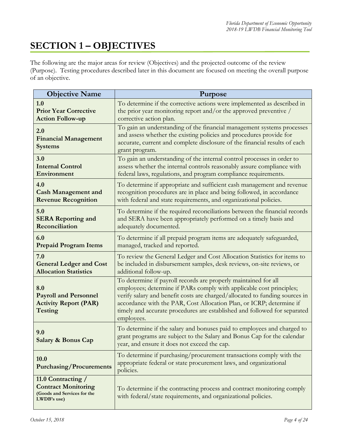## <span id="page-3-0"></span>**SECTION 1 – OBJECTIVES**

The following are the major areas for review (Objectives) and the projected outcome of the review (Purpose). Testing procedures described later in this document are focused on meeting the overall purpose of an objective.

| <b>Objective Name</b>                                                                          | Purpose                                                                                                                                                                                                                                                                                                                                                                                   |
|------------------------------------------------------------------------------------------------|-------------------------------------------------------------------------------------------------------------------------------------------------------------------------------------------------------------------------------------------------------------------------------------------------------------------------------------------------------------------------------------------|
| 1.0                                                                                            | To determine if the corrective actions were implemented as described in                                                                                                                                                                                                                                                                                                                   |
| <b>Prior Year Corrective</b>                                                                   | the prior year monitoring report and/or the approved preventive /                                                                                                                                                                                                                                                                                                                         |
| <b>Action Follow-up</b>                                                                        | corrective action plan.                                                                                                                                                                                                                                                                                                                                                                   |
| 2.0<br><b>Financial Management</b><br><b>Systems</b>                                           | To gain an understanding of the financial management systems processes<br>and assess whether the existing policies and procedures provide for<br>accurate, current and complete disclosure of the financial results of each<br>grant program.                                                                                                                                             |
| 3.0                                                                                            | To gain an understanding of the internal control processes in order to                                                                                                                                                                                                                                                                                                                    |
| <b>Internal Control</b>                                                                        | assess whether the internal controls reasonably assure compliance with                                                                                                                                                                                                                                                                                                                    |
| Environment                                                                                    | federal laws, regulations, and program compliance requirements.                                                                                                                                                                                                                                                                                                                           |
| 4.0                                                                                            | To determine if appropriate and sufficient cash management and revenue                                                                                                                                                                                                                                                                                                                    |
| <b>Cash Management and</b>                                                                     | recognition procedures are in place and being followed, in accordance                                                                                                                                                                                                                                                                                                                     |
| <b>Revenue Recognition</b>                                                                     | with federal and state requirements, and organizational policies.                                                                                                                                                                                                                                                                                                                         |
| 5.0                                                                                            | To determine if the required reconciliations between the financial records                                                                                                                                                                                                                                                                                                                |
| <b>SERA Reporting and</b>                                                                      | and SERA have been appropriately performed on a timely basis and                                                                                                                                                                                                                                                                                                                          |
| Reconciliation                                                                                 | adequately documented.                                                                                                                                                                                                                                                                                                                                                                    |
| 6.0                                                                                            | To determine if all prepaid program items are adequately safeguarded,                                                                                                                                                                                                                                                                                                                     |
| <b>Prepaid Program Items</b>                                                                   | managed, tracked and reported.                                                                                                                                                                                                                                                                                                                                                            |
| 7.0                                                                                            | To review the General Ledger and Cost Allocation Statistics for items to                                                                                                                                                                                                                                                                                                                  |
| <b>General Ledger and Cost</b>                                                                 | be included in disbursement samples, desk reviews, on-site reviews, or                                                                                                                                                                                                                                                                                                                    |
| <b>Allocation Statistics</b>                                                                   | additional follow-up.                                                                                                                                                                                                                                                                                                                                                                     |
| 8.0<br><b>Payroll and Personnel</b><br><b>Activity Report (PAR)</b><br>Testing                 | To determine if payroll records are properly maintained for all<br>employees; determine if PARs comply with applicable cost principles;<br>verify salary and benefit costs are charged/allocated to funding sources in<br>accordance with the PAR, Cost Allocation Plan, or ICRP; determine if<br>timely and accurate procedures are established and followed for separated<br>employees. |
| 9.0<br><b>Salary &amp; Bonus Cap</b>                                                           | To determine if the salary and bonuses paid to employees and charged to<br>grant programs are subject to the Salary and Bonus Cap for the calendar<br>year, and ensure it does not exceed the cap.                                                                                                                                                                                        |
| 10.0<br><b>Purchasing/Procurements</b>                                                         | To determine if purchasing/procurement transactions comply with the<br>appropriate federal or state procurement laws, and organizational<br>policies.                                                                                                                                                                                                                                     |
| 11.0 Contracting /<br><b>Contract Monitoring</b><br>(Goods and Services for the<br>LWDB's use) | To determine if the contracting process and contract monitoring comply<br>with federal/state requirements, and organizational policies.                                                                                                                                                                                                                                                   |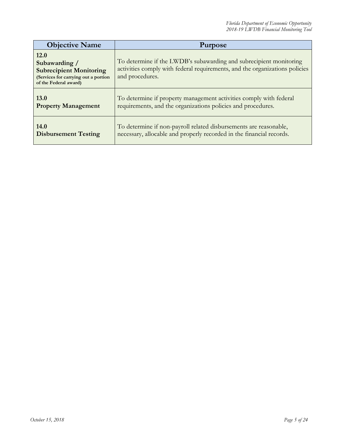| <b>Objective Name</b>                                                                                                    | <b>Purpose</b>                                                                                                                                                       |
|--------------------------------------------------------------------------------------------------------------------------|----------------------------------------------------------------------------------------------------------------------------------------------------------------------|
| 12.0<br>Subawarding /<br><b>Subrecipient Monitoring</b><br>(Services for carrying out a portion<br>of the Federal award) | To determine if the LWDB's subawarding and subrecipient monitoring<br>activities comply with federal requirements, and the organizations policies<br>and procedures. |
| 13.0                                                                                                                     | To determine if property management activities comply with federal                                                                                                   |
| <b>Property Management</b>                                                                                               | requirements, and the organizations policies and procedures.                                                                                                         |
| 14.0                                                                                                                     | To determine if non-payroll related disbursements are reasonable,                                                                                                    |
| <b>Disbursement Testing</b>                                                                                              | necessary, allocable and properly recorded in the financial records.                                                                                                 |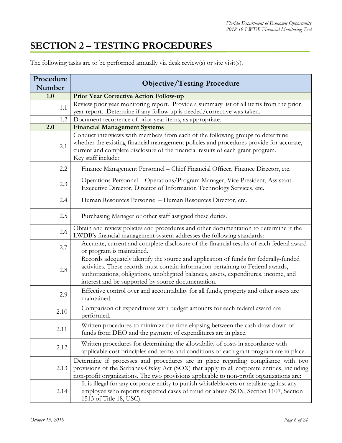### <span id="page-5-0"></span>**SECTION 2 – TESTING PROCEDURES**

The following tasks are to be performed annually via desk review(s) or site visit(s).

| Procedure<br>Number | <b>Objective/Testing Procedure</b>                                                                                                                                                                                                                                                                                     |
|---------------------|------------------------------------------------------------------------------------------------------------------------------------------------------------------------------------------------------------------------------------------------------------------------------------------------------------------------|
| 1.0                 | <b>Prior Year Corrective Action Follow-up</b>                                                                                                                                                                                                                                                                          |
| 1.1                 | Review prior year monitoring report. Provide a summary list of all items from the prior<br>year report. Determine if any follow up is needed/corrective was taken.                                                                                                                                                     |
| 1.2                 | Document recurrence of prior year items, as appropriate.                                                                                                                                                                                                                                                               |
| 2.0                 | <b>Financial Management Systems</b>                                                                                                                                                                                                                                                                                    |
| 2.1                 | Conduct interviews with members from each of the following groups to determine<br>whether the existing financial management policies and procedures provide for accurate,<br>current and complete disclosure of the financial results of each grant program.<br>Key staff include:                                     |
| 2.2                 | Finance Management Personnel - Chief Financial Officer, Finance Director, etc.                                                                                                                                                                                                                                         |
| 2.3                 | Operations Personnel - Operations/Program Manager, Vice President, Assistant<br>Executive Director, Director of Information Technology Services, etc.                                                                                                                                                                  |
| 2.4                 | Human Resources Personnel - Human Resources Director, etc.                                                                                                                                                                                                                                                             |
| 2.5                 | Purchasing Manager or other staff assigned these duties.                                                                                                                                                                                                                                                               |
| 2.6                 | Obtain and review policies and procedures and other documentation to determine if the<br>LWDB's financial management system addresses the following standards:                                                                                                                                                         |
| 2.7                 | Accurate, current and complete disclosure of the financial results of each federal award<br>or program is maintained.                                                                                                                                                                                                  |
| 2.8                 | Records adequately identify the source and application of funds for federally-funded<br>activities. These records must contain information pertaining to Federal awards,<br>authorizations, obligations, unobligated balances, assets, expenditures, income, and<br>interest and be supported by source documentation. |
| 2.9                 | Effective control over and accountability for all funds, property and other assets are<br>maintained.                                                                                                                                                                                                                  |
| 2.10                | Comparison of expenditures with budget amounts for each federal award are<br>performed.                                                                                                                                                                                                                                |
| 2.11                | Written procedures to minimize the time elapsing between the cash draw down of<br>funds from DEO and the payment of expenditures are in place.                                                                                                                                                                         |
| 2.12                | Written procedures for determining the allowability of costs in accordance with<br>applicable cost principles and terms and conditions of each grant program are in place.                                                                                                                                             |
| 2.13                | Determine if processes and procedures are in place regarding compliance with two<br>provisions of the Sarbanes-Oxley Act (SOX) that apply to all corporate entities, including<br>non-profit organizations. The two provisions applicable to non-profit organizations are:                                             |
| 2.14                | It is illegal for any corporate entity to punish whistleblowers or retaliate against any<br>employee who reports suspected cases of fraud or abuse (SOX, Section 1107, Section<br>1513 of Title 18, USC).                                                                                                              |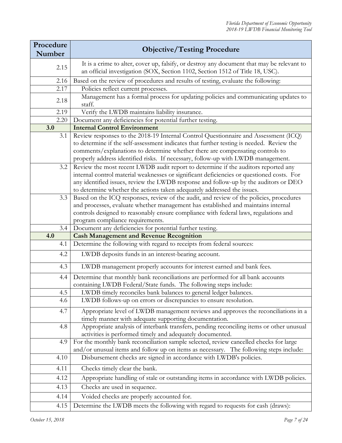| Procedure  | <b>Objective/Testing Procedure</b>                                                                                                                                                                                                                                                                                                                                   |
|------------|----------------------------------------------------------------------------------------------------------------------------------------------------------------------------------------------------------------------------------------------------------------------------------------------------------------------------------------------------------------------|
| Number     |                                                                                                                                                                                                                                                                                                                                                                      |
| 2.15       | It is a crime to alter, cover up, falsify, or destroy any document that may be relevant to<br>an official investigation (SOX, Section 1102, Section 1512 of Title 18, USC).                                                                                                                                                                                          |
| 2.16       | Based on the review of procedures and results of testing, evaluate the following:                                                                                                                                                                                                                                                                                    |
| 2.17       | Policies reflect current processes.                                                                                                                                                                                                                                                                                                                                  |
| 2.18       | Management has a formal process for updating policies and communicating updates to<br>staff.                                                                                                                                                                                                                                                                         |
| 2.19       | Verify the LWDB maintains liability insurance.                                                                                                                                                                                                                                                                                                                       |
| 2.20       | Document any deficiencies for potential further testing.                                                                                                                                                                                                                                                                                                             |
| 3.0        | <b>Internal Control Environment</b>                                                                                                                                                                                                                                                                                                                                  |
| 3.1        | Review responses to the 2018-19 Internal Control Questionnaire and Assessment (ICQ)<br>to determine if the self-assessment indicates that further testing is needed. Review the<br>comments/explanations to determine whether there are compensating controls to<br>properly address identified risks. If necessary, follow-up with LWDB management.                 |
| 3.2        | Review the most recent LWDB audit report to determine if the auditors reported any<br>internal control material weaknesses or significant deficiencies or questioned costs. For<br>any identified issues, review the LWDB response and follow-up by the auditors or DEO<br>to determine whether the actions taken adequately addressed the issues.                   |
| 3.3<br>3.4 | Based on the ICQ responses, review of the audit, and review of the policies, procedures<br>and processes, evaluate whether management has established and maintains internal<br>controls designed to reasonably ensure compliance with federal laws, regulations and<br>program compliance requirements.<br>Document any deficiencies for potential further testing. |
| 4.0        | <b>Cash Management and Revenue Recognition</b>                                                                                                                                                                                                                                                                                                                       |
| 4.1        | Determine the following with regard to receipts from federal sources:                                                                                                                                                                                                                                                                                                |
| 4.2        | LWDB deposits funds in an interest-bearing account.                                                                                                                                                                                                                                                                                                                  |
|            |                                                                                                                                                                                                                                                                                                                                                                      |
| 4.3        | LWDB management properly accounts for interest earned and bank fees.                                                                                                                                                                                                                                                                                                 |
| 4.4        | Determine that monthly bank reconciliations are performed for all bank accounts<br>containing LWDB Federal/State funds. The following steps include:                                                                                                                                                                                                                 |
| 4.5        | LWDB timely reconciles bank balances to general ledger balances.                                                                                                                                                                                                                                                                                                     |
| 4.6        | LWDB follows-up on errors or discrepancies to ensure resolution.                                                                                                                                                                                                                                                                                                     |
| 4.7        | Appropriate level of LWDB management reviews and approves the reconciliations in a<br>timely manner with adequate supporting documentation.                                                                                                                                                                                                                          |
| 4.8        | Appropriate analysis of interbank transfers, pending reconciling items or other unusual<br>activities is performed timely and adequately documented.                                                                                                                                                                                                                 |
| 4.9        | For the monthly bank reconciliation sample selected, review cancelled checks for large<br>and/or unusual items and follow up on items as necessary. The following steps include:                                                                                                                                                                                     |
| 4.10       | Disbursement checks are signed in accordance with LWDB's policies.                                                                                                                                                                                                                                                                                                   |
| 4.11       | Checks timely clear the bank.                                                                                                                                                                                                                                                                                                                                        |
| 4.12       | Appropriate handling of stale or outstanding items in accordance with LWDB policies.                                                                                                                                                                                                                                                                                 |
| 4.13       | Checks are used in sequence.                                                                                                                                                                                                                                                                                                                                         |
| 4.14       | Voided checks are properly accounted for.                                                                                                                                                                                                                                                                                                                            |
| 4.15       | Determine the LWDB meets the following with regard to requests for cash (draws):                                                                                                                                                                                                                                                                                     |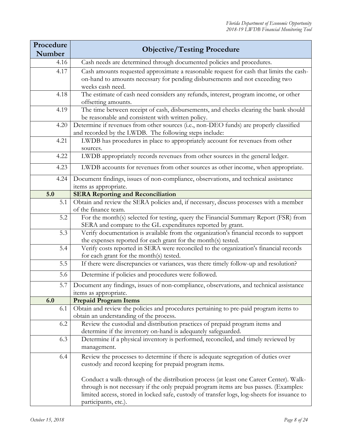| Procedure<br>Number | <b>Objective/Testing Procedure</b>                                                                                                                                                                                                                                                                     |
|---------------------|--------------------------------------------------------------------------------------------------------------------------------------------------------------------------------------------------------------------------------------------------------------------------------------------------------|
| 4.16                | Cash needs are determined through documented policies and procedures.                                                                                                                                                                                                                                  |
| 4.17                | Cash amounts requested approximate a reasonable request for cash that limits the cash-<br>on-hand to amounts necessary for pending disbursements and not exceeding two<br>weeks cash need.                                                                                                             |
| 4.18                | The estimate of cash need considers any refunds, interest, program income, or other<br>offsetting amounts.                                                                                                                                                                                             |
| 4.19                | The time between receipt of cash, disbursements, and checks clearing the bank should<br>be reasonable and consistent with written policy.                                                                                                                                                              |
| 4.20                | Determine if revenues from other sources (i.e., non-DEO funds) are properly classified<br>and recorded by the LWDB. The following steps include:                                                                                                                                                       |
| 4.21                | LWDB has procedures in place to appropriately account for revenues from other<br>sources.                                                                                                                                                                                                              |
| 4.22                | LWDB appropriately records revenues from other sources in the general ledger.                                                                                                                                                                                                                          |
| 4.23                | LWDB accounts for revenues from other sources as other income, when appropriate.                                                                                                                                                                                                                       |
| 4.24                | Document findings, issues of non-compliance, observations, and technical assistance<br>items as appropriate.                                                                                                                                                                                           |
| 5.0                 | <b>SERA Reporting and Reconciliation</b>                                                                                                                                                                                                                                                               |
| 5.1                 | Obtain and review the SERA policies and, if necessary, discuss processes with a member<br>of the finance team.                                                                                                                                                                                         |
| 5.2                 | For the month(s) selected for testing, query the Financial Summary Report (FSR) from<br>SERA and compare to the GL expenditures reported by grant.                                                                                                                                                     |
| 5.3                 | Verify documentation is available from the organization's financial records to support<br>the expenses reported for each grant for the month(s) tested.                                                                                                                                                |
| 5.4                 | Verify costs reported in SERA were reconciled to the organization's financial records<br>for each grant for the month(s) tested.                                                                                                                                                                       |
| 5.5                 | If there were discrepancies or variances, was there timely follow-up and resolution?                                                                                                                                                                                                                   |
| 5.6                 | Determine if policies and procedures were followed.                                                                                                                                                                                                                                                    |
| 5.7                 | Document any findings, issues of non-compliance, observations, and technical assistance<br>items as appropriate.                                                                                                                                                                                       |
| 6.0                 | <b>Prepaid Program Items</b>                                                                                                                                                                                                                                                                           |
| 6.1                 | Obtain and review the policies and procedures pertaining to pre-paid program items to<br>obtain an understanding of the process.                                                                                                                                                                       |
| 6.2                 | Review the custodial and distribution practices of prepaid program items and<br>determine if the inventory on-hand is adequately safeguarded.                                                                                                                                                          |
| 6.3                 | Determine if a physical inventory is performed, reconciled, and timely reviewed by<br>management.                                                                                                                                                                                                      |
| 6.4                 | Review the processes to determine if there is adequate segregation of duties over<br>custody and record keeping for prepaid program items.                                                                                                                                                             |
|                     | Conduct a walk-through of the distribution process (at least one Career Center). Walk-<br>through is not necessary if the only prepaid program items are bus passes. (Examples:<br>limited access, stored in locked safe, custody of transfer logs, log-sheets for issuance to<br>participants, etc.). |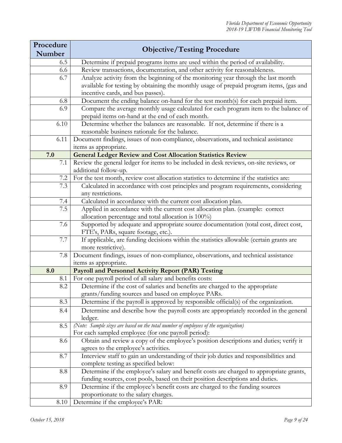| Procedure<br>Number | <b>Objective/Testing Procedure</b>                                                                                                          |
|---------------------|---------------------------------------------------------------------------------------------------------------------------------------------|
| 6.5                 | Determine if prepaid programs items are used within the period of availability.                                                             |
| 6.6                 | Review transactions, documentation, and other activity for reasonableness.                                                                  |
| 6.7                 | Analyze activity from the beginning of the monitoring year through the last month                                                           |
|                     | available for testing by obtaining the monthly usage of prepaid program items, (gas and                                                     |
|                     | incentive cards, and bus passes).                                                                                                           |
| 6.8                 | Document the ending balance on-hand for the test month(s) for each prepaid item.                                                            |
| 6.9                 | Compare the average monthly usage calculated for each program item to the balance of                                                        |
|                     | prepaid items on-hand at the end of each month.                                                                                             |
| 6.10                | Determine whether the balances are reasonable. If not, determine if there is a                                                              |
|                     | reasonable business rationale for the balance.                                                                                              |
| 6.11                | Document findings, issues of non-compliance, observations, and technical assistance                                                         |
|                     | items as appropriate.                                                                                                                       |
| 7.0                 | <b>General Ledger Review and Cost Allocation Statistics Review</b>                                                                          |
| 7.1                 | Review the general ledger for items to be included in desk reviews, on-site reviews, or                                                     |
|                     | additional follow-up.                                                                                                                       |
| 7.2                 | For the test month, review cost allocation statistics to determine if the statistics are:                                                   |
| 7.3                 | Calculated in accordance with cost principles and program requirements, considering                                                         |
|                     | any restrictions.                                                                                                                           |
| 7.4                 | Calculated in accordance with the current cost allocation plan.                                                                             |
| 7.5                 | Applied in accordance with the current cost allocation plan. (example: correct                                                              |
| 7.6                 | allocation percentage and total allocation is 100%)<br>Supported by adequate and appropriate source documentation (total cost, direct cost, |
|                     | FTE's, PARs, square footage, etc.).                                                                                                         |
| 7.7                 | If applicable, are funding decisions within the statistics allowable (certain grants are                                                    |
|                     | more restrictive).                                                                                                                          |
| 7.8                 | Document findings, issues of non-compliance, observations, and technical assistance                                                         |
|                     | items as appropriate.                                                                                                                       |
| 8.0                 | Payroll and Personnel Activity Report (PAR) Testing                                                                                         |
| 8.1                 | For one payroll period of all salary and benefits costs:                                                                                    |
| 8.2                 | Determine if the cost of salaries and benefits are charged to the appropriate                                                               |
|                     | grants/funding sources and based on employee PARs.                                                                                          |
| 8.3                 | Determine if the payroll is approved by responsible official(s) of the organization.                                                        |
| 8.4                 | Determine and describe how the payroll costs are appropriately recorded in the general                                                      |
|                     | ledger.                                                                                                                                     |
| 8.5                 | (Note: Sample sizes are based on the total number of employees of the organization)                                                         |
|                     | For each sampled employee (for one payroll period):                                                                                         |
| 8.6                 | Obtain and review a copy of the employee's position descriptions and duties; verify it                                                      |
|                     | agrees to the employee's activities.                                                                                                        |
| 8.7                 | Interview staff to gain an understanding of their job duties and responsibilities and                                                       |
|                     | complete testing as specified below:                                                                                                        |
| 8.8                 | Determine if the employee's salary and benefit costs are charged to appropriate grants,                                                     |
|                     | funding sources, cost pools, based on their position descriptions and duties.                                                               |
| 8.9                 | Determine if the employee's benefit costs are charged to the funding sources                                                                |
| 8.10                | proportionate to the salary charges.<br>Determine if the employee's PAR:                                                                    |
|                     |                                                                                                                                             |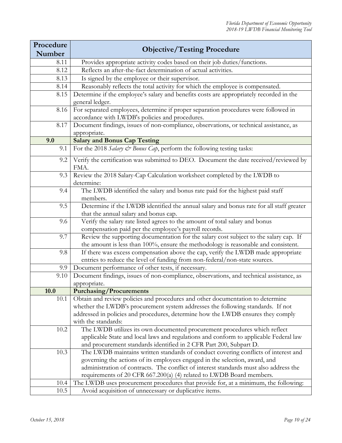| Procedure | <b>Objective/Testing Procedure</b>                                                                                                                                          |
|-----------|-----------------------------------------------------------------------------------------------------------------------------------------------------------------------------|
| Number    |                                                                                                                                                                             |
| 8.11      | Provides appropriate activity codes based on their job duties/functions.                                                                                                    |
| 8.12      | Reflects an after-the-fact determination of actual activities.                                                                                                              |
| 8.13      | Is signed by the employee or their supervisor.                                                                                                                              |
| 8.14      | Reasonably reflects the total activity for which the employee is compensated.                                                                                               |
| 8.15      | Determine if the employee's salary and benefits costs are appropriately recorded in the<br>general ledger.                                                                  |
| 8.16      | For separated employees, determine if proper separation procedures were followed in<br>accordance with LWDB's policies and procedures.                                      |
| 8.17      | Document findings, issues of non-compliance, observations, or technical assistance, as<br>appropriate.                                                                      |
| 9.0       | <b>Salary and Bonus Cap Testing</b>                                                                                                                                         |
| 9.1       | For the 2018 Salary & Bonus Cap, perform the following testing tasks:                                                                                                       |
| 9.2       | Verify the certification was submitted to DEO. Document the date received/reviewed by<br>FMA.                                                                               |
| 9.3       | Review the 2018 Salary-Cap Calculation worksheet completed by the LWDB to<br>determine:                                                                                     |
| 9.4       | The LWDB identified the salary and bonus rate paid for the highest paid staff<br>members.                                                                                   |
| 9.5       | Determine if the LWDB identified the annual salary and bonus rate for all staff greater<br>that the annual salary and bonus cap.                                            |
| 9.6       | Verify the salary rate listed agrees to the amount of total salary and bonus<br>compensation paid per the employee's payroll records.                                       |
| 9.7       | Review the supporting documentation for the salary cost subject to the salary cap. If<br>the amount is less than 100%, ensure the methodology is reasonable and consistent. |
| 9.8       | If there was excess compensation above the cap, verify the LWDB made appropriate                                                                                            |
| 9.9       | entries to reduce the level of funding from non-federal/non-state sources.<br>Document performance of other tests, if necessary.                                            |
| 9.10      | Document findings, issues of non-compliance, observations, and technical assistance, as                                                                                     |
| 10.0      | appropriate.<br><b>Purchasing/Procurements</b>                                                                                                                              |
| 10.1      | Obtain and review policies and procedures and other documentation to determine                                                                                              |
|           | whether the LWDB's procurement system addresses the following standards. If not                                                                                             |
|           | addressed in policies and procedures, determine how the LWDB ensures they comply                                                                                            |
|           | with the standards:                                                                                                                                                         |
| 10.2      | The LWDB utilizes its own documented procurement procedures which reflect                                                                                                   |
|           | applicable State and local laws and regulations and conform to applicable Federal law                                                                                       |
|           | and procurement standards identified in 2 CFR Part 200, Subpart D.                                                                                                          |
| 10.3      | The LWDB maintains written standards of conduct covering conflicts of interest and                                                                                          |
|           | governing the actions of its employees engaged in the selection, award, and                                                                                                 |
|           | administration of contracts. The conflict of interest standards must also address the                                                                                       |
|           | requirements of 20 CFR 667.200(a) (4) related to LWDB Board members.                                                                                                        |
| 10.4      | The LWDB uses procurement procedures that provide for, at a minimum, the following:                                                                                         |
| 10.5      | Avoid acquisition of unnecessary or duplicative items.                                                                                                                      |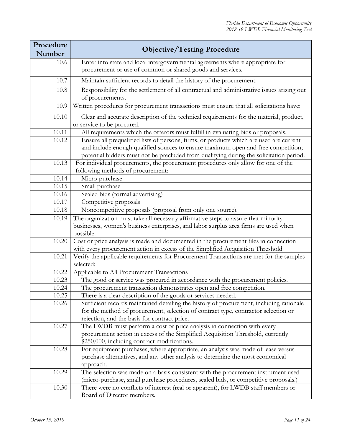| Procedure | <b>Objective/Testing Procedure</b>                                                                   |
|-----------|------------------------------------------------------------------------------------------------------|
| Number    |                                                                                                      |
| 10.6      | Enter into state and local intergovernmental agreements where appropriate for                        |
|           | procurement or use of common or shared goods and services.                                           |
| 10.7      | Maintain sufficient records to detail the history of the procurement.                                |
| 10.8      | Responsibility for the settlement of all contractual and administrative issues arising out           |
|           | of procurements.                                                                                     |
| 10.9      | Written procedures for procurement transactions must ensure that all solicitations have:             |
| 10.10     | Clear and accurate description of the technical requirements for the material, product,              |
|           | or service to be procured.                                                                           |
| 10.11     | All requirements which the offerors must fulfill in evaluating bids or proposals.                    |
| 10.12     | Ensure all prequalified lists of persons, firms, or products which are used are current              |
|           | and include enough qualified sources to ensure maximum open and free competition;                    |
|           | potential bidders must not be precluded from qualifying during the solicitation period.              |
| 10.13     | For individual procurements, the procurement procedures only allow for one of the                    |
|           | following methods of procurement:                                                                    |
| 10.14     | Micro-purchase                                                                                       |
| 10.15     | Small purchase                                                                                       |
| 10.16     | Sealed bids (formal advertising)                                                                     |
| 10.17     | Competitive proposals                                                                                |
| 10.18     | Noncompetitive proposals (proposal from only one source).                                            |
| 10.19     | The organization must take all necessary affirmative steps to assure that minority                   |
|           | businesses, women's business enterprises, and labor surplus area firms are used when                 |
|           | possible.                                                                                            |
| 10.20     | Cost or price analysis is made and documented in the procurement files in connection                 |
|           | with every procurement action in excess of the Simplified Acquisition Threshold.                     |
| 10.21     | Verify the applicable requirements for Procurement Transactions are met for the samples<br>selected: |
| 10.22     | Applicable to All Procurement Transactions                                                           |
| 10.23     | The good or service was procured in accordance with the procurement policies.                        |
| 10.24     | The procurement transaction demonstrates open and free competition.                                  |
| 10.25     | There is a clear description of the goods or services needed.                                        |
| 10.26     | Sufficient records maintained detailing the history of procurement, including rationale              |
|           | for the method of procurement, selection of contract type, contractor selection or                   |
|           | rejection, and the basis for contract price.                                                         |
| 10.27     | The LWDB must perform a cost or price analysis in connection with every                              |
|           | procurement action in excess of the Simplified Acquisition Threshold, currently                      |
|           | \$250,000, including contract modifications.                                                         |
| 10.28     | For equipment purchases, where appropriate, an analysis was made of lease versus                     |
|           | purchase alternatives, and any other analysis to determine the most economical                       |
|           | approach.                                                                                            |
| 10.29     | The selection was made on a basis consistent with the procurement instrument used                    |
|           | (micro-purchase, small purchase procedures, sealed bids, or competitive proposals.)                  |
| 10.30     | There were no conflicts of interest (real or apparent), for LWDB staff members or                    |
|           | Board of Director members.                                                                           |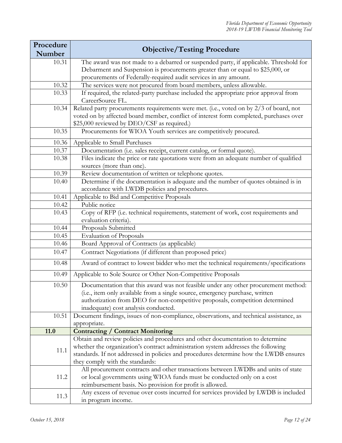| Procedure |                                                                                                                                    |
|-----------|------------------------------------------------------------------------------------------------------------------------------------|
| Number    | <b>Objective/Testing Procedure</b>                                                                                                 |
| 10.31     | The award was not made to a debarred or suspended party, if applicable. Threshold for                                              |
|           | Debarment and Suspension is procurements greater than or equal to \$25,000, or                                                     |
|           | procurements of Federally-required audit services in any amount.                                                                   |
| 10.32     | The services were not procured from board members, unless allowable.                                                               |
| 10.33     | If required, the related-party purchase included the appropriate prior approval from                                               |
|           | CareerSource FL.                                                                                                                   |
| 10.34     | Related party procurements requirements were met. (i.e., voted on by 2/3 of board, not                                             |
|           | voted on by affected board member, conflict of interest form completed, purchases over                                             |
|           | \$25,000 reviewed by DEO/CSF as required.)                                                                                         |
| 10.35     | Procurements for WIOA Youth services are competitively procured.                                                                   |
| 10.36     | Applicable to Small Purchases                                                                                                      |
| 10.37     | Documentation (i.e. sales receipt, current catalog, or formal quote).                                                              |
| 10.38     | Files indicate the price or rate quotations were from an adequate number of qualified                                              |
|           | sources (more than one).                                                                                                           |
| 10.39     | Review documentation of written or telephone quotes.                                                                               |
| 10.40     | Determine if the documentation is adequate and the number of quotes obtained is in                                                 |
|           | accordance with LWDB policies and procedures.                                                                                      |
| 10.41     | Applicable to Bid and Competitive Proposals                                                                                        |
| 10.42     | Public notice                                                                                                                      |
| 10.43     | Copy of RFP (i.e. technical requirements, statement of work, cost requirements and                                                 |
| 10.44     | evaluation criteria).                                                                                                              |
| 10.45     | Proposals Submitted                                                                                                                |
| 10.46     | <b>Evaluation of Proposals</b><br>Board Approval of Contracts (as applicable)                                                      |
|           |                                                                                                                                    |
| 10.47     | Contract Negotiations (if different than proposed price)                                                                           |
| 10.48     | Award of contract to lowest bidder who met the technical requirements/specifications                                               |
| 10.49     | Applicable to Sole Source or Other Non-Competitive Proposals                                                                       |
| 10.50     | Documentation that this award was not feasible under any other procurement method:                                                 |
|           | (i.e., item only available from a single source, emergency purchase, written                                                       |
|           | authorization from DEO for non-competitive proposals, competition determined                                                       |
|           | inadequate) cost analysis conducted.                                                                                               |
| 10.51     | Document findings, issues of non-compliance, observations, and technical assistance, as                                            |
|           | appropriate.                                                                                                                       |
| 11.0      | <b>Contracting / Contract Monitoring</b>                                                                                           |
|           | Obtain and review policies and procedures and other documentation to determine                                                     |
| 11.1      | whether the organization's contract administration system addresses the following                                                  |
|           | standards. If not addressed in policies and procedures determine how the LWDB ensures                                              |
|           | they comply with the standards:                                                                                                    |
|           | All procurement contracts and other transactions between LWDBs and units of state                                                  |
| 11.2      | or local governments using WIOA funds must be conducted only on a cost<br>reimbursement basis. No provision for profit is allowed. |
|           |                                                                                                                                    |
|           | Any excess of revenue over costs incurred for services provided by LWDB is included                                                |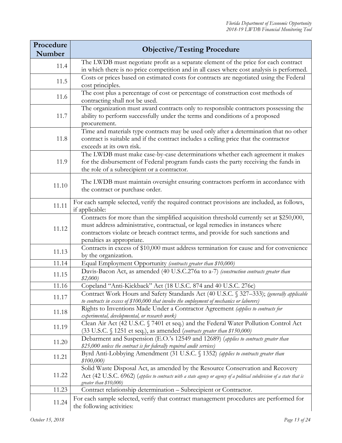| Procedure<br>Number | <b>Objective/Testing Procedure</b>                                                                                                                                                                                                                                                          |
|---------------------|---------------------------------------------------------------------------------------------------------------------------------------------------------------------------------------------------------------------------------------------------------------------------------------------|
| 11.4                | The LWDB must negotiate profit as a separate element of the price for each contract<br>in which there is no price competition and in all cases where cost analysis is performed.                                                                                                            |
| 11.5                | Costs or prices based on estimated costs for contracts are negotiated using the Federal<br>cost principles.                                                                                                                                                                                 |
| 11.6                | The cost plus a percentage of cost or percentage of construction cost methods of<br>contracting shall not be used.                                                                                                                                                                          |
| 11.7                | The organization must award contracts only to responsible contractors possessing the<br>ability to perform successfully under the terms and conditions of a proposed<br>procurement.                                                                                                        |
| 11.8                | Time and materials type contracts may be used only after a determination that no other<br>contract is suitable and if the contract includes a ceiling price that the contractor<br>exceeds at its own risk.                                                                                 |
| 11.9                | The LWDB must make case-by-case determinations whether each agreement it makes<br>for the disbursement of Federal program funds casts the party receiving the funds in<br>the role of a subrecipient or a contractor.                                                                       |
| 11.10               | The LWDB must maintain oversight ensuring contractors perform in accordance with<br>the contract or purchase order.                                                                                                                                                                         |
| 11.11               | For each sample selected, verify the required contract provisions are included, as follows,<br>if applicable:                                                                                                                                                                               |
| 11.12               | Contracts for more than the simplified acquisition threshold currently set at \$250,000,<br>must address administrative, contractual, or legal remedies in instances where<br>contractors violate or breach contract terms, and provide for such sanctions and<br>penalties as appropriate. |
| 11.13               | Contracts in excess of \$10,000 must address termination for cause and for convenience<br>by the organization.                                                                                                                                                                              |
| 11.14               | Equal Employment Opportunity (contracts greater than \$10,000)                                                                                                                                                                                                                              |
| 11.15               | Davis-Bacon Act, as amended (40 U.S.C.276a to a-7) (construction contracts greater than<br>\$2,000                                                                                                                                                                                          |
| 11.16               | Copeland "Anti-Kickback" Act (18 U.S.C. 874 and 40 U.S.C. 276c)                                                                                                                                                                                                                             |
| 11.17               | Contract Work Hours and Safety Standards Act (40 U.S.C. § 327-333); (generally applicable<br>to contracts in excess of \$100,000 that involve the employment of mechanics or laborers)                                                                                                      |
| 11.18               | Rights to Inventions Made Under a Contractor Agreement (applies to contracts for<br>experimental, developmental, or research work)                                                                                                                                                          |
| 11.19               | Clean Air Act (42 U.S.C. § 7401 et seq.) and the Federal Water Pollution Control Act<br>(33 U.S.C. § 1251 et seq.), as amended (contracts greater than \$150,000)                                                                                                                           |
| 11.20               | Debarment and Suspension (E.O.'s 12549 and 12689) (applies to contracts greater than<br>\$25,000 unless the contract is for federally required audit services)                                                                                                                              |
| 11.21               | Byrd Anti-Lobbying Amendment (31 U.S.C. § 1352) (applies to contracts greater than<br>\$100,000                                                                                                                                                                                             |
| 11.22               | Solid Waste Disposal Act, as amended by the Resource Conservation and Recovery<br>Act (42 U.S.C. 6962) (applies to contracts with a state agency or agency of a political subdivision of a state that is<br>greater than \$10,000)                                                          |
| 11.23               | Contract relationship determination - Subrecipient or Contractor.                                                                                                                                                                                                                           |
| 11.24               | For each sample selected, verify that contract management procedures are performed for<br>the following activities:                                                                                                                                                                         |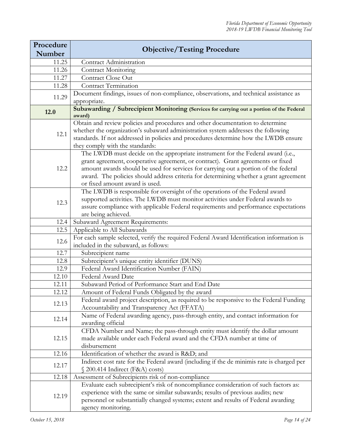| Procedure<br>Number | <b>Objective/Testing Procedure</b>                                                                     |
|---------------------|--------------------------------------------------------------------------------------------------------|
| 11.25               | Contract Administration                                                                                |
| 11.26               | Contract Monitoring                                                                                    |
| 11.27               | Contract Close Out                                                                                     |
|                     | <b>Contract Termination</b>                                                                            |
| 11.28               |                                                                                                        |
| 11.29               | Document findings, issues of non-compliance, observations, and technical assistance as<br>appropriate. |
| 12.0                | Subawarding / Subrecipient Monitoring (Services for carrying out a portion of the Federal<br>award)    |
|                     | Obtain and review policies and procedures and other documentation to determine                         |
| 12.1                | whether the organization's subaward administration system addresses the following                      |
|                     | standards. If not addressed in policies and procedures determine how the LWDB ensure                   |
|                     | they comply with the standards:                                                                        |
|                     | The LWDB must decide on the appropriate instrument for the Federal award (i.e.,                        |
|                     | grant agreement, cooperative agreement, or contract). Grant agreements or fixed                        |
| 12.2                | amount awards should be used for services for carrying out a portion of the federal                    |
|                     | award. The policies should address criteria for determining whether a grant agreement                  |
|                     | or fixed amount award is used.                                                                         |
|                     | The LWDB is responsible for oversight of the operations of the Federal award                           |
|                     | supported activities. The LWDB must monitor activities under Federal awards to                         |
| 12.3                | assure compliance with applicable Federal requirements and performance expectations                    |
|                     | are being achieved.                                                                                    |
| 12.4                | Subaward Agreement Requirements:                                                                       |
| 12.5                | Applicable to All Subawards                                                                            |
|                     | For each sample selected, verify the required Federal Award Identification information is              |
| 12.6                | included in the subaward, as follows:                                                                  |
| 12.7                | Subrecipient name                                                                                      |
| 12.8                | Subrecipient's unique entity identifier (DUNS)                                                         |
| 12.9                | Federal Award Identification Number (FAIN)                                                             |
| 12.10               | Federal Award Date                                                                                     |
| 12.11               | Subaward Period of Performance Start and End Date                                                      |
| 12.12               | Amount of Federal Funds Obligated by the award                                                         |
|                     | Federal award project description, as required to be responsive to the Federal Funding                 |
| 12.13               | Accountability and Transparency Act (FFATA)                                                            |
|                     | Name of Federal awarding agency, pass-through entity, and contact information for                      |
| 12.14               | awarding official                                                                                      |
|                     | CFDA Number and Name; the pass-through entity must identify the dollar amount                          |
| 12.15               | made available under each Federal award and the CFDA number at time of                                 |
|                     | disbursement                                                                                           |
| 12.16               | Identification of whether the award is R&D and                                                         |
|                     | Indirect cost rate for the Federal award (including if the de minimis rate is charged per              |
| 12.17               | § 200.414 Indirect (F&A) costs)                                                                        |
| 12.18               | Assessment of Subrecipients risk of non-compliance                                                     |
|                     | Evaluate each subrecipient's risk of noncompliance consideration of such factors as:                   |
|                     | experience with the same or similar subawards; results of previous audits; new                         |
| 12.19               | personnel or substantially changed systems; extent and results of Federal awarding                     |
|                     | agency monitoring.                                                                                     |
|                     |                                                                                                        |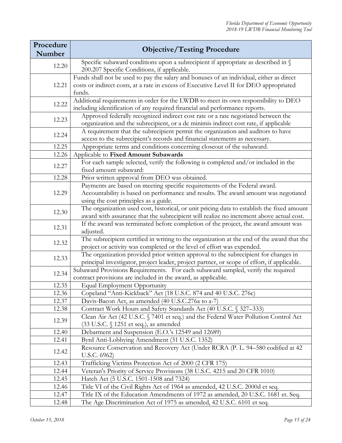| Procedure<br><b>Number</b> | <b>Objective/Testing Procedure</b>                                                                                                                                                                        |
|----------------------------|-----------------------------------------------------------------------------------------------------------------------------------------------------------------------------------------------------------|
| 12.20                      | Specific subaward conditions upon a subrecipient if appropriate as described in §<br>200.207 Specific Conditions, if applicable.                                                                          |
| 12.21                      | Funds shall not be used to pay the salary and bonuses of an individual, either as direct<br>costs or indirect costs, at a rate in excess of Executive Level II for DEO appropriated<br>funds.             |
| 12.22                      | Additional requirements in order for the LWDB to meet its own responsibility to DEO<br>including identification of any required financial and performance reports.                                        |
| 12.23                      | Approved federally recognized indirect cost rate or a rate negotiated between the<br>organization and the subrecipient, or a de minimis indirect cost rate, if applicable                                 |
| 12.24                      | A requirement that the subrecipient permit the organization and auditors to have<br>access to the subrecipient's records and financial statements as necessary.                                           |
| 12.25                      | Appropriate terms and conditions concerning closeout of the subaward.                                                                                                                                     |
| 12.26                      | Applicable to Fixed Amount Subawards                                                                                                                                                                      |
| 12.27                      | For each sample selected, verify the following is completed and/or included in the<br>fixed amount subaward:                                                                                              |
| 12.28                      | Prior written approval from DEO was obtained.                                                                                                                                                             |
| 12.29                      | Payments are based on meeting specific requirements of the Federal award.<br>Accountability is based on performance and results. The award amount was negotiated<br>using the cost principles as a guide. |
| 12.30                      | The organization used cost, historical, or unit pricing data to establish the fixed amount<br>award with assurance that the subrecipient will realize no increment above actual cost.                     |
| 12.31                      | If the award was terminated before completion of the project, the award amount was<br>adjusted.                                                                                                           |
| 12.32                      | The subrecipient certified in writing to the organization at the end of the award that the<br>project or activity was completed or the level of effort was expended.                                      |
| 12.33                      | The organization provided prior written approval to the subrecipient for changes in<br>principal investigator, project leader, project partner, or scope of effort, if applicable.                        |
| 12.34                      | Subaward Provisions Requirements. For each subaward sampled, verify the required<br>contract provisions are included in the award, as applicable.                                                         |
| 12.35                      | <b>Equal Employment Opportunity</b>                                                                                                                                                                       |
| 12.36                      | Copeland "Anti-Kickback" Act (18 U.S.C. 874 and 40 U.S.C. 276c)                                                                                                                                           |
| 12.37                      | Davis-Bacon Act, as amended (40 U.S.C.276a to a-7)                                                                                                                                                        |
| 12.38                      | Contract Work Hours and Safety Standards Act (40 U.S.C. § 327–333)                                                                                                                                        |
| 12.39                      | Clean Air Act (42 U.S.C. § 7401 et seq.) and the Federal Water Pollution Control Act<br>(33 U.S.C. § 1251 et seq.), as amended                                                                            |
| 12.40                      | Debarment and Suspension (E.O.'s 12549 and 12689)                                                                                                                                                         |
| 12.41                      | Byrd Anti-Lobbying Amendment (31 U.S.C. 1352)                                                                                                                                                             |
| 12.42                      | Resource Conservation and Recovery Act (Under RCRA (P. L. 94–580 codified at 42)<br>U.S.C. 6962)                                                                                                          |
| 12.43                      | Trafficking Victims Protection Act of 2000 (2 CFR 175)                                                                                                                                                    |
| 12.44                      | Veteran's Priority of Service Provisions (38 U.S.C. 4215 and 20 CFR 1010)                                                                                                                                 |
| 12.45                      | Hatch Act (5 U.S.C. 1501-1508 and 7324)                                                                                                                                                                   |
| 12.46                      | Title VI of the Civil Rights Act of 1964 as amended, 42 U.S.C. 2000d et seq.                                                                                                                              |
| 12.47                      | Title IX of the Education Amendments of 1972 as amended, 20 U.S.C. 1681 et. Seq.                                                                                                                          |
| 12.48                      | The Age Discrimination Act of 1975 as amended, 42 U.S.C. 6101 et seq.                                                                                                                                     |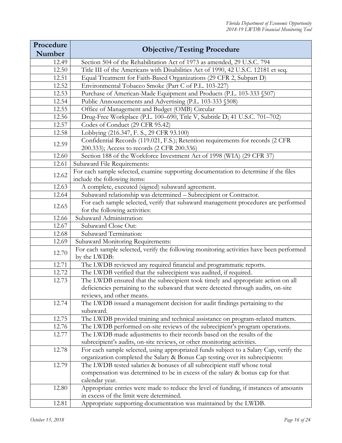| Procedure |                                                                                                                                                                         |
|-----------|-------------------------------------------------------------------------------------------------------------------------------------------------------------------------|
| Number    | <b>Objective/Testing Procedure</b>                                                                                                                                      |
| 12.49     | Section 504 of the Rehabilitation Act of 1973 as amended, 29 U.S.C. 794                                                                                                 |
| 12.50     | Title III of the Americans with Disabilities Act of 1990, 42 U.S.C. 12181 et seq.                                                                                       |
| 12.51     | Equal Treatment for Faith-Based Organizations (29 CFR 2, Subpart D)                                                                                                     |
| 12.52     | Environmental Tobacco Smoke (Part C of P.L. 103-227)                                                                                                                    |
| 12.53     | Purchase of American-Made Equipment and Products (P.L. 103-333 §507)                                                                                                    |
| 12.54     | Public Announcements and Advertising (P.L. 103-333 §508)                                                                                                                |
| 12.55     | Office of Management and Budget (OMB) Circular                                                                                                                          |
| 12.56     | Drug-Free Workplace (P.L. 100-690, Title V, Subtitle D; 41 U.S.C. 701-702)                                                                                              |
| 12.57     | Codes of Conduct (29 CFR 95.42)                                                                                                                                         |
| 12.58     | Lobbying (216.347, F. S., 29 CFR 93.100)                                                                                                                                |
| 12.59     | Confidential Records (119.021, F.S.); Retention requirements for records (2 CFR<br>200.333); Access to records (2 CFR 200.336)                                          |
| 12.60     | Section 188 of the Workforce Investment Act of 1998 (WIA) (29 CFR 37)                                                                                                   |
| 12.61     | Subaward File Requirements:                                                                                                                                             |
| 12.62     | For each sample selected, examine supporting documentation to determine if the files<br>include the following items:                                                    |
| 12.63     | A complete, executed (signed) subaward agreement.                                                                                                                       |
| 12.64     | Subaward relationship was determined - Subrecipient or Contractor.                                                                                                      |
| 12.65     | For each sample selected, verify that subaward management procedures are performed<br>for the following activities:                                                     |
| 12.66     | Subaward Administration:                                                                                                                                                |
| 12.67     | Subaward Close Out:                                                                                                                                                     |
| 12.68     | Subaward Termination:                                                                                                                                                   |
| 12.69     | Subaward Monitoring Requirements:                                                                                                                                       |
|           | For each sample selected, verify the following monitoring activities have been performed                                                                                |
| 12.70     | by the LWDB:                                                                                                                                                            |
| 12.71     | The LWDB reviewed any required financial and programmatic reports.                                                                                                      |
| 12.72     | The LWDB verified that the subrecipient was audited, if required.                                                                                                       |
| 12.73     | The LWDB ensured that the subrecipient took timely and appropriate action on all                                                                                        |
|           | deficiencies pertaining to the subaward that were detected through audits, on-site                                                                                      |
|           | reviews, and other means.                                                                                                                                               |
| 12.74     | The LWDB issued a management decision for audit findings pertaining to the                                                                                              |
|           | subaward.                                                                                                                                                               |
| 12.75     | The LWDB provided training and technical assistance on program-related matters.                                                                                         |
| 12.76     | The LWDB performed on-site reviews of the subrecipient's program operations.                                                                                            |
| 12.77     | The LWDB made adjustments to their records based on the results of the                                                                                                  |
|           | subrecipient's audits, on-site reviews, or other monitoring activities.                                                                                                 |
| 12.78     | For each sample selected, using appropriated funds subject to a Salary Cap, verify the<br>organization completed the Salary & Bonus Cap testing over its subrecipients: |
| 12.79     | The LWDB tested salaries & bonuses of all subrecipient staff whose total                                                                                                |
|           | compensation was determined to be in excess of the salary & bonus cap for that                                                                                          |
|           | calendar year.                                                                                                                                                          |
| 12.80     | Appropriate entries were made to reduce the level of funding, if instances of amounts                                                                                   |
|           | in excess of the limit were determined.                                                                                                                                 |
| 12.81     | Appropriate supporting documentation was maintained by the LWDB.                                                                                                        |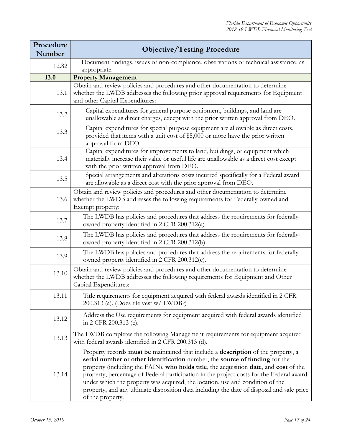| Procedure<br><b>Number</b> | <b>Objective/Testing Procedure</b>                                                                                                                                                                                                                                                                                                                                                                                                                                                                                                                      |
|----------------------------|---------------------------------------------------------------------------------------------------------------------------------------------------------------------------------------------------------------------------------------------------------------------------------------------------------------------------------------------------------------------------------------------------------------------------------------------------------------------------------------------------------------------------------------------------------|
| 12.82                      | Document findings, issues of non-compliance, observations or technical assistance, as<br>appropriate.                                                                                                                                                                                                                                                                                                                                                                                                                                                   |
| 13.0                       | <b>Property Management</b>                                                                                                                                                                                                                                                                                                                                                                                                                                                                                                                              |
| 13.1                       | Obtain and review policies and procedures and other documentation to determine<br>whether the LWDB addresses the following prior approval requirements for Equipment<br>and other Capital Expenditures:                                                                                                                                                                                                                                                                                                                                                 |
| 13.2                       | Capital expenditures for general purpose equipment, buildings, and land are<br>unallowable as direct charges, except with the prior written approval from DEO.                                                                                                                                                                                                                                                                                                                                                                                          |
| 13.3                       | Capital expenditures for special purpose equipment are allowable as direct costs,<br>provided that items with a unit cost of \$5,000 or more have the prior written<br>approval from DEO.                                                                                                                                                                                                                                                                                                                                                               |
| 13.4                       | Capital expenditures for improvements to land, buildings, or equipment which<br>materially increase their value or useful life are unallowable as a direct cost except<br>with the prior written approval from DEO.                                                                                                                                                                                                                                                                                                                                     |
| 13.5                       | Special arrangements and alterations costs incurred specifically for a Federal award<br>are allowable as a direct cost with the prior approval from DEO.                                                                                                                                                                                                                                                                                                                                                                                                |
| 13.6                       | Obtain and review policies and procedures and other documentation to determine<br>whether the LWDB addresses the following requirements for Federally-owned and<br>Exempt property:                                                                                                                                                                                                                                                                                                                                                                     |
| 13.7                       | The LWDB has policies and procedures that address the requirements for federally-<br>owned property identified in 2 CFR 200.312(a).                                                                                                                                                                                                                                                                                                                                                                                                                     |
| 13.8                       | The LWDB has policies and procedures that address the requirements for federally-<br>owned property identified in 2 CFR 200.312(b).                                                                                                                                                                                                                                                                                                                                                                                                                     |
| 13.9                       | The LWDB has policies and procedures that address the requirements for federally-<br>owned property identified in 2 CFR 200.312(c).                                                                                                                                                                                                                                                                                                                                                                                                                     |
| 13.10                      | Obtain and review policies and procedures and other documentation to determine<br>whether the LWDB addresses the following requirements for Equipment and Other<br>Capital Expenditures:                                                                                                                                                                                                                                                                                                                                                                |
| 13.11                      | Title requirements for equipment acquired with federal awards identified in 2 CFR<br>200.313 (a). (Does tile vest w/ LWDB?)                                                                                                                                                                                                                                                                                                                                                                                                                             |
| 13.12                      | Address the Use requirements for equipment acquired with federal awards identified<br>in 2 CFR 200.313 (c).                                                                                                                                                                                                                                                                                                                                                                                                                                             |
| 13.13                      | The LWDB completes the following Management requirements for equipment acquired<br>with federal awards identified in 2 CFR 200.313 (d).                                                                                                                                                                                                                                                                                                                                                                                                                 |
| 13.14                      | Property records must be maintained that include a description of the property, a<br>serial number or other identification number, the source of funding for the<br>property (including the FAIN), who holds title, the acquisition date, and cost of the<br>property, percentage of Federal participation in the project costs for the Federal award<br>under which the property was acquired, the location, use and condition of the<br>property, and any ultimate disposition data including the date of disposal and sale price<br>of the property. |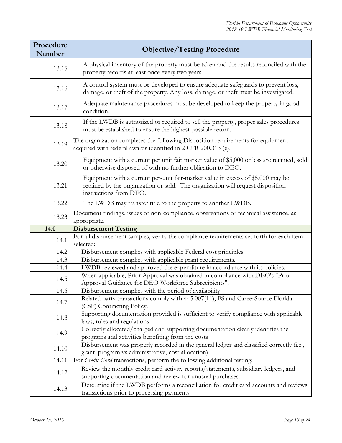| Procedure<br>Number | <b>Objective/Testing Procedure</b>                                                                                                                                                           |
|---------------------|----------------------------------------------------------------------------------------------------------------------------------------------------------------------------------------------|
| 13.15               | A physical inventory of the property must be taken and the results reconciled with the<br>property records at least once every two years.                                                    |
| 13.16               | A control system must be developed to ensure adequate safeguards to prevent loss,<br>damage, or theft of the property. Any loss, damage, or theft must be investigated.                      |
| 13.17               | Adequate maintenance procedures must be developed to keep the property in good<br>condition.                                                                                                 |
| 13.18               | If the LWDB is authorized or required to sell the property, proper sales procedures<br>must be established to ensure the highest possible return.                                            |
| 13.19               | The organization completes the following Disposition requirements for equipment<br>acquired with federal awards identified in 2 CFR 200.313 (e).                                             |
| 13.20               | Equipment with a current per unit fair market value of \$5,000 or less are retained, sold<br>or otherwise disposed of with no further obligation to DEO.                                     |
| 13.21               | Equipment with a current per-unit fair-market value in excess of \$5,000 may be<br>retained by the organization or sold. The organization will request disposition<br>instructions from DEO. |
| 13.22               | The LWDB may transfer title to the property to another LWDB.                                                                                                                                 |
| 13.23               | Document findings, issues of non-compliance, observations or technical assistance, as<br>appropriate.                                                                                        |
| 14.0                | <b>Disbursement Testing</b>                                                                                                                                                                  |
| 14.1                | For all disbursement samples, verify the compliance requirements set forth for each item<br>selected:                                                                                        |
| 14.2                | Disbursement complies with applicable Federal cost principles.                                                                                                                               |
| 14.3                | Disbursement complies with applicable grant requirements.                                                                                                                                    |
| 14.4                | LWDB reviewed and approved the expenditure in accordance with its policies.                                                                                                                  |
| 14.5                | When applicable, Prior Approval was obtained in compliance with DEO's "Prior<br>Approval Guidance for DEO Workforce Subrecipients".                                                          |
| 14.6                | Disbursement complies with the period of availability.                                                                                                                                       |
| 14.7                | Related party transactions comply with 445.007(11), FS and CareerSource Florida<br>(CSF) Contracting Policy.                                                                                 |
| 14.8                | Supporting documentation provided is sufficient to verify compliance with applicable<br>laws, rules and regulations                                                                          |
| 14.9                | Correctly allocated/charged and supporting documentation clearly identifies the<br>programs and activities benefiting from the costs                                                         |
| 14.10               | Disbursement was properly recorded in the general ledger and classified correctly (i.e.,<br>grant, program vs administrative, cost allocation).                                              |
| 14.11               | For Credit Card transactions, perform the following additional testing:                                                                                                                      |
| 14.12               | Review the monthly credit card activity reports/statements, subsidiary ledgers, and<br>supporting documentation and review for unusual purchases.                                            |
| 14.13               | Determine if the LWDB performs a reconciliation for credit card accounts and reviews<br>transactions prior to processing payments                                                            |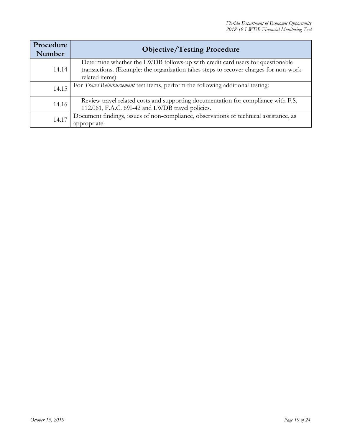| Procedure<br>Number | <b>Objective/Testing Procedure</b>                                                                                                                                                       |
|---------------------|------------------------------------------------------------------------------------------------------------------------------------------------------------------------------------------|
| 14.14               | Determine whether the LWDB follows-up with credit card users for questionable<br>transactions. (Example: the organization takes steps to recover charges for non-work-<br>related items) |
| 14.15               | For Travel Reimbursement test items, perform the following additional testing:                                                                                                           |
| 14.16               | Review travel related costs and supporting documentation for compliance with F.S.<br>112.061, F.A.C. 69I-42 and LWDB travel policies.                                                    |
| 14.17               | Document findings, issues of non-compliance, observations or technical assistance, as<br>appropriate.                                                                                    |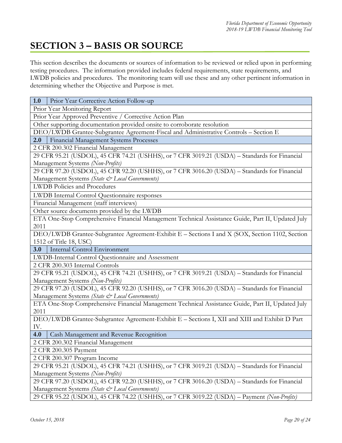### <span id="page-19-0"></span>**SECTION 3 – BASIS OR SOURCE**

This section describes the documents or sources of information to be reviewed or relied upon in performing testing procedures. The information provided includes federal requirements, state requirements, and LWDB policies and procedures. The monitoring team will use these and any other pertinent information in determining whether the Objective and Purpose is met.

| Prior Year Corrective Action Follow-up<br>1.0                                                     |  |  |
|---------------------------------------------------------------------------------------------------|--|--|
| Prior Year Monitoring Report                                                                      |  |  |
| Prior Year Approved Preventive / Corrective Action Plan                                           |  |  |
| Other supporting documentation provided onsite to corroborate resolution                          |  |  |
| DEO/LWDB Grantee-Subgrantee Agreement-Fiscal and Administrative Controls - Section E              |  |  |
| Financial Management Systems Processes<br>2.0                                                     |  |  |
| 2 CFR 200.302 Financial Management                                                                |  |  |
| 29 CFR 95.21 (USDOL), 45 CFR 74.21 (USHHS), or 7 CFR 3019.21 (USDA) - Standards for Financial     |  |  |
| Management Systems (Non-Profits)                                                                  |  |  |
| 29 CFR 97.20 (USDOL), 45 CFR 92.20 (USHHS), or 7 CFR 3016.20 (USDA) - Standards for Financial     |  |  |
| Management Systems (State & Local Governments)                                                    |  |  |
| <b>LWDB</b> Policies and Procedures                                                               |  |  |
| LWDB Internal Control Questionnaire responses                                                     |  |  |
| Financial Management (staff interviews)                                                           |  |  |
| Other source documents provided by the LWDB                                                       |  |  |
| ETA One-Stop Comprehensive Financial Management Technical Assistance Guide, Part II, Updated July |  |  |
| 2011                                                                                              |  |  |
| DEO/LWDB Grantee-Subgrantee Agreement-Exhibit E - Sections I and X (SOX, Section 1102, Section    |  |  |
| 1512 of Title 18, USC)                                                                            |  |  |
| Internal Control Environment<br>3.0                                                               |  |  |
| LWDB-Internal Control Questionnaire and Assessment                                                |  |  |
| 2 CFR 200.303 Internal Controls                                                                   |  |  |
| 29 CFR 95.21 (USDOL), 45 CFR 74.21 (USHHS), or 7 CFR 3019.21 (USDA) - Standards for Financial     |  |  |
| Management Systems (Non-Profits)                                                                  |  |  |
| 29 CFR 97.20 (USDOL), 45 CFR 92.20 (USHHS), or 7 CFR 3016.20 (USDA) - Standards for Financial     |  |  |
| Management Systems (State & Local Governments)                                                    |  |  |
| ETA One-Stop Comprehensive Financial Management Technical Assistance Guide, Part II, Updated July |  |  |
| 2011                                                                                              |  |  |
| DEO/LWDB Grantee-Subgrantee Agreement-Exhibit E - Sections I, XII and XIII and Exhibit D Part     |  |  |
| IV.                                                                                               |  |  |
| 4.0<br>Cash Management and Revenue Recognition                                                    |  |  |
| 2 CFR 200.302 Financial Management                                                                |  |  |
| 2 CFR 200.305 Payment                                                                             |  |  |
| 2 CFR 200.307 Program Income                                                                      |  |  |
| 29 CFR 95.21 (USDOL), 45 CFR 74.21 (USHHS), or 7 CFR 3019.21 (USDA) - Standards for Financial     |  |  |
| Management Systems (Non-Profits)                                                                  |  |  |
| 29 CFR 97.20 (USDOL), 45 CFR 92.20 (USHHS), or 7 CFR 3016.20 (USDA) - Standards for Financial     |  |  |
| Management Systems (State & Local Governments)                                                    |  |  |
| 29 CFR 95.22 (USDOL), 45 CFR 74.22 (USHHS), or 7 CFR 3019.22 (USDA) - Payment (Non-Profits)       |  |  |
|                                                                                                   |  |  |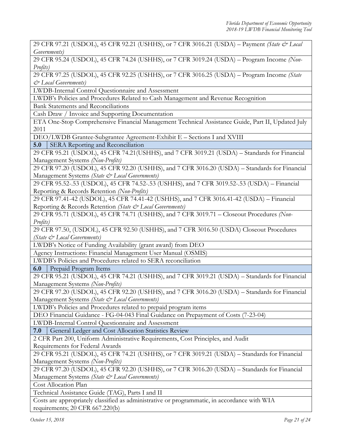29 CFR 97.21 (USDOL), 45 CFR 92.21 (USHHS), or 7 CFR 3016.21 (USDA) – Payment *(State & Local Governments)*

29 CFR 95.24 (USDOL), 45 CFR 74.24 (USHHS), or 7 CFR 3019.24 (USDA) – Program Income *(Non-Profits)*

29 CFR 97.25 (USDOL), 45 CFR 92.25 (USHHS), or 7 CFR 3016.25 (USDA) – Program Income *(State & Local Governments)*

LWDB-Internal Control Questionnaire and Assessment

LWDB's Policies and Procedures Related to Cash Management and Revenue Recognition

Bank Statements and Reconciliations

Cash Draw / Invoice and Supporting Documentation

ETA One-Stop Comprehensive Financial Management Technical Assistance Guide, Part II, Updated July 2011

DEO/LWDB Grantee-Subgrantee Agreement-Exhibit E – Sections I and XVIII

**5.0** SERA Reporting and Reconciliation

29 CFR 95.21 (USDOL), 45 CFR 74.21(USHHS), and 7 CFR 3019.21 (USDA) – Standards for Financial Management Systems *(Non-Profits)*

29 CFR 97.20 (USDOL), 45 CFR 92.20 (USHHS), and 7 CFR 3016.20 (USDA) – Standards for Financial Management Systems *(State & Local Governments)*

29 CFR 95.52-.53 (USDOL), 45 CFR 74.52-.53 (USHHS), and 7 CFR 3019.52-.53 (USDA) – Financial Reporting & Records Retention *(Non-Profits)*

29 CFR 97.41-42 (USDOL), 45 CFR 74.41-42 (USHHS), and 7 CFR 3016.41-42 (USDA) – Financial Reporting & Records Retention *(State & Local Governments)*

29 CFR 95.71 (USDOL), 45 CFR 74.71 (USHHS), and 7 CFR 3019.71 – Closeout Procedures *(Non-Profits)*

29 CFR 97.50, (USDOL), 45 CFR 92.50 (USHHS), and 7 CFR 3016.50 (USDA) Closeout Procedures *(State & Local Governments)*

LWDB's Notice of Funding Availability (grant award) from DEO

Agency Instructions: Financial Management User Manual (OSMIS)

LWDB's Policies and Procedures related to SERA reconciliation

**6.0** Prepaid Program Items

29 CFR 95.21 (USDOL), 45 CFR 74.21 (USHHS), and 7 CFR 3019.21 (USDA) – Standards for Financial Management Systems *(Non-Profits)*

29 CFR 97.20 (USDOL), 45 CFR 92.20 (USHHS), and 7 CFR 3016.20 (USDA) – Standards for Financial Management Systems *(State & Local Governments)*

LWDB's Policies and Procedures related to prepaid program items

DEO Financial Guidance - FG-04-043 Final Guidance on Prepayment of Costs (7-23-04)

LWDB-Internal Control Questionnaire and Assessment

**7.0** General Ledger and Cost Allocation Statistics Review

2 CFR Part 200, Uniform Administrative Requirements, Cost Principles, and Audit Requirements for Federal Awards

29 CFR 95.21 (USDOL), 45 CFR 74.21 (USHHS), or 7 CFR 3019.21 (USDA) – Standards for Financial Management Systems *(Non-Profits)*

29 CFR 97.20 (USDOL), 45 CFR 92.20 (USHHS), or 7 CFR 3016.20 (USDA) – Standards for Financial Management Systems *(State & Local Governments)*

Cost Allocation Plan

Technical Assistance Guide (TAG), Parts I and II

Costs are appropriately classified as administrative or programmatic, in accordance with WIA requirements; 20 CFR 667.220(b)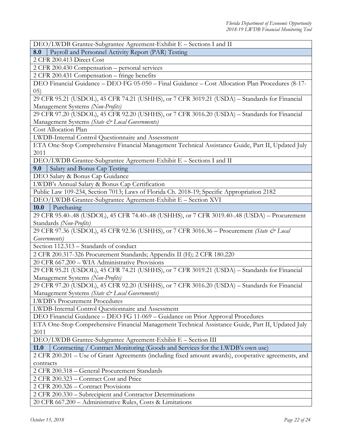DEO/LWDB Grantee-Subgrantee Agreement-Exhibit E – Sections I and II

**8.0** Payroll and Personnel Activity Report (PAR) Testing

2 CFR 200.413 Direct Cost

2 CFR 200.430 Compensation – personal services

2 CFR 200.431 Compensation – fringe benefits

DEO Financial Guidance – DEO FG 05-050 – Final Guidance – Cost Allocation Plan Procedures (8-17- 05)

29 CFR 95.21 (USDOL), 45 CFR 74.21 (USHHS), or 7 CFR 3019.21 (USDA) – Standards for Financial Management Systems *(Non-Profits)*

29 CFR 97.20 (USDOL), 45 CFR 92.20 (USHHS), or 7 CFR 3016.20 (USDA) – Standards for Financial Management Systems *(State & Local Governments)*

Cost Allocation Plan

LWDB-Internal Control Questionnaire and Assessment

ETA One-Stop Comprehensive Financial Management Technical Assistance Guide, Part II, Updated July 2011

DEO/LWDB Grantee-Subgrantee Agreement-Exhibit E – Sections I and II

**9.0** Salary and Bonus Cap Testing

DEO Salary & Bonus Cap Guidance

LWDB's Annual Salary & Bonus Cap Certification

Public Law 109-234, Section 7013; Laws of Florida Ch. 2018-19; Specific Appropriation 2182

DEO/LWDB Grantee-Subgrantee Agreement-Exhibit E – Section XVI

10.0 Purchasing

29 CFR 95.40-.48 (USDOL), 45 CFR 74.40-.48 (USHHS), or 7 CFR 3019.40-.48 (USDA) – Procurement Standards *(Non-Profits)*

29 CFR 97.36 (USDOL), 45 CFR 92.36 (USHHS), or 7 CFR 3016.36 – Procurement *(State & Local Governments)*

Section 112.313 – Standards of conduct

2 CFR 200.317-326 Procurement Standards; Appendix II (H); 2 CFR 180.220

20 CFR 667.200 – WIA Administrative Provisions

29 CFR 95.21 (USDOL), 45 CFR 74.21 (USHHS), or 7 CFR 3019.21 (USDA) – Standards for Financial Management Systems *(Non-Profits)*

29 CFR 97.20 (USDOL), 45 CFR 92.20 (USHHS), or 7 CFR 3016.20 (USDA) – Standards for Financial Management Systems *(State & Local Governments)*

LWDB's Procurement Procedures

LWDB-Internal Control Questionnaire and Assessment

DEO Financial Guidance – DEO FG 11-069 – Guidance on Prior Approval Procedures

ETA One-Stop Comprehensive Financial Management Technical Assistance Guide, Part II, Updated July 2011

DEO/LWDB Grantee-Subgrantee Agreement-Exhibit E – Section III

**11.0** Contracting / Contract Monitoring (Goods and Services for the LWDB's own use)

2 CFR 200.201 – Use of Grant Agreements (including fixed amount awards), cooperative agreements, and contracts

2 CFR 200.318 – General Procurement Standards

2 CFR 200.323 – Contract Cost and Price

2 CFR 200.326 – Contract Provisions

2 CFR 200.330 – Subrecipient and Contractor Determinations

20 CFR 667.200 – Administrative Rules, Costs & Limitations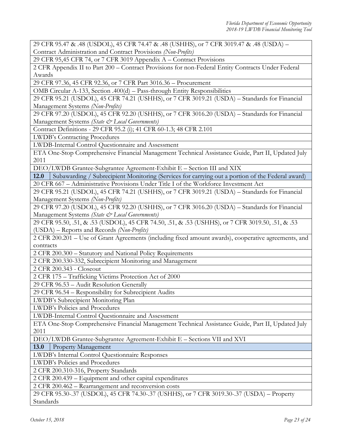29 CFR 95.47 & .48 (USDOL), 45 CFR 74.47 & .48 (USHHS), or 7 CFR 3019.47 & .48 (USDA) – Contract Administration and Contract Provisions *(Non-Profits)*

29 CFR 95,45 CFR 74, or 7 CFR 3019 Appendix A – Contract Provisions

2 CFR Appendix II to Part 200 – Contract Provisions for non-Federal Entity Contracts Under Federal Awards

29 CFR 97.36, 45 CFR 92.36, or 7 CFR Part 3016.36 – Procurement

OMB Circular A-133, Section .400(d) – Pass-through Entity Responsibilities

29 CFR 95.21 (USDOL), 45 CFR 74.21 (USHHS), or 7 CFR 3019.21 (USDA) – Standards for Financial Management Systems *(Non-Profits)*

29 CFR 97.20 (USDOL), 45 CFR 92.20 (USHHS), or 7 CFR 3016.20 (USDA) – Standards for Financial Management Systems *(State & Local Governments)*

Contract Definitions - 29 CFR 95.2 (i); 41 CFR 60-1.3; 48 CFR 2.101

LWDB's Contracting Procedures

LWDB-Internal Control Questionnaire and Assessment

ETA One-Stop Comprehensive Financial Management Technical Assistance Guide, Part II, Updated July 2011

DEO/LWDB Grantee-Subgrantee Agreement-Exhibit E – Section III and XIX

**12.0** Subawarding / Subrecipient Monitoring (Services for carrying out a portion of the Federal award) 20 CFR 667 – Administrative Provisions Under Title I of the Workforce Investment Act

29 CFR 95.21 (USDOL), 45 CFR 74.21 (USHHS), or 7 CFR 3019.21 (USDA) – Standards for Financial Management Systems *(Non-Profits)*

29 CFR 97.20 (USDOL), 45 CFR 92.20 (USHHS), or 7 CFR 3016.20 (USDA) – Standards for Financial Management Systems *(State & Local Governments)*

29 CFR 95.50, .51, & .53 (USDOL), 45 CFR 74.50, .51, & .53 (USHHS), or 7 CFR 3019.50, .51, & .53 (USDA) – Reports and Records *(Non-Profits)*

2 CFR 200.201 – Use of Grant Agreements (including fixed amount awards), cooperative agreements, and contracts

2 CFR 200.300 – Statutory and National Policy Requirements

2 CFR 200.330-332, Subrecipient Monitoring and Management

2 CFR 200.343 - Closeout

2 CFR 175 – Trafficking Victims Protection Act of 2000

29 CFR 96.53 – Audit Resolution Generally

29 CFR 96.54 – Responsibility for Subrecipient Audits

LWDB's Subrecipient Monitoring Plan

LWDB's Policies and Procedures

LWDB-Internal Control Questionnaire and Assessment

ETA One-Stop Comprehensive Financial Management Technical Assistance Guide, Part II, Updated July 2011

DEO/LWDB Grantee-Subgrantee Agreement-Exhibit E – Sections VII and XVI

**13.0** Property Management

LWDB's Internal Control Questionnaire Responses

LWDB's Policies and Procedures

2 CFR 200.310-316, Property Standards

2 CFR 200.439 – Equipment and other capital expenditures

2 CFR 200.462 – Rearrangement and reconversion costs

29 CFR 95.30-.37 (USDOL), 45 CFR 74.30-.37 (USHHS), or 7 CFR 3019.30-.37 (USDA) – Property Standards